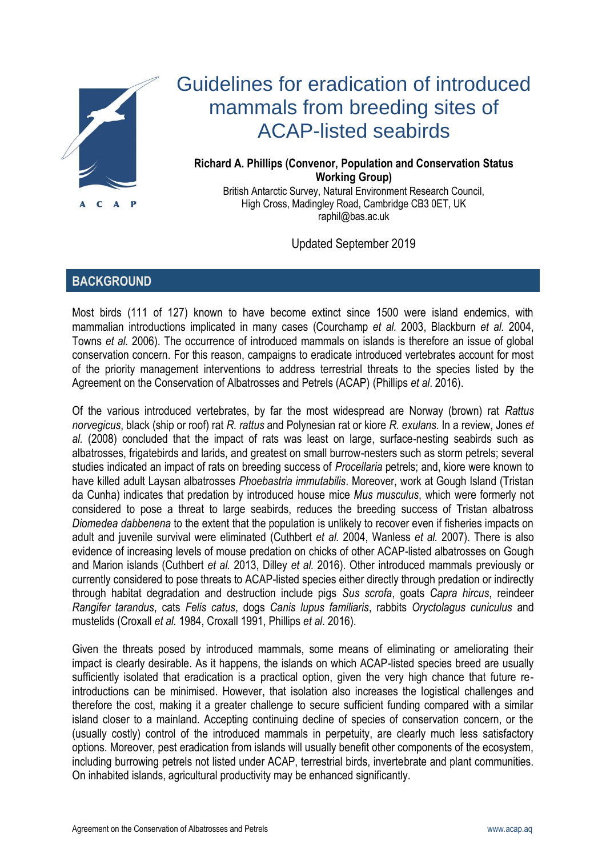

# Guidelines for eradication of introduced mammals from breeding sites of ACAP-listed seabirds

## **Richard A. Phillips (Convenor, Population and Conservation Status Working Group)**

British Antarctic Survey, Natural Environment Research Council, High Cross, Madingley Road, Cambridge CB3 0ET, UK [raphil@bas.ac.uk](mailto:raphil@bas.ac.uk)

Updated September 2019

# **BACKGROUND**

Most birds (111 of 127) known to have become extinct since 1500 were island endemics, with mammalian introductions implicated in many cases (Courchamp *et al.* 2003, Blackburn *et al.* 2004, Towns *et al.* 2006). The occurrence of introduced mammals on islands is therefore an issue of global conservation concern. For this reason, campaigns to eradicate introduced vertebrates account for most of the priority management interventions to address terrestrial threats to the species listed by the Agreement on the Conservation of Albatrosses and Petrels (ACAP) (Phillips *et al*. 2016).

Of the various introduced vertebrates, by far the most widespread are Norway (brown) rat *Rattus norvegicus*, black (ship or roof) rat *R. rattus* and Polynesian rat or kiore *R. exulans*. In a review, Jones *et al.* (2008) concluded that the impact of rats was least on large, surface-nesting seabirds such as albatrosses, frigatebirds and larids, and greatest on small burrow-nesters such as storm petrels; several studies indicated an impact of rats on breeding success of *Procellaria* petrels; and, kiore were known to have killed adult Laysan albatrosses *Phoebastria immutabilis*. Moreover, work at Gough Island (Tristan da Cunha) indicates that predation by introduced house mice *Mus musculus*, which were formerly not considered to pose a threat to large seabirds, reduces the breeding success of Tristan albatross *Diomedea dabbenena* to the extent that the population is unlikely to recover even if fisheries impacts on adult and juvenile survival were eliminated (Cuthbert *et al.* 2004, Wanless *et al.* 2007). There is also evidence of increasing levels of mouse predation on chicks of other ACAP-listed albatrosses on Gough and Marion islands (Cuthbert *et al.* 2013, Dilley *et al.* 2016). Other introduced mammals previously or currently considered to pose threats to ACAP-listed species either directly through predation or indirectly through habitat degradation and destruction include pigs *Sus scrofa*, goats *Capra hircus*, reindeer *Rangifer tarandus*, cats *Felis catus*, dogs *Canis lupus familiaris*, rabbits *Oryctolagus cuniculus* and mustelids (Croxall *et al.* 1984, Croxall 1991, Phillips *et al*. 2016).

Given the threats posed by introduced mammals, some means of eliminating or ameliorating their impact is clearly desirable. As it happens, the islands on which ACAP-listed species breed are usually sufficiently isolated that eradication is a practical option, given the very high chance that future reintroductions can be minimised. However, that isolation also increases the logistical challenges and therefore the cost, making it a greater challenge to secure sufficient funding compared with a similar island closer to a mainland. Accepting continuing decline of species of conservation concern, or the (usually costly) control of the introduced mammals in perpetuity, are clearly much less satisfactory options. Moreover, pest eradication from islands will usually benefit other components of the ecosystem, including burrowing petrels not listed under ACAP, terrestrial birds, invertebrate and plant communities. On inhabited islands, agricultural productivity may be enhanced significantly.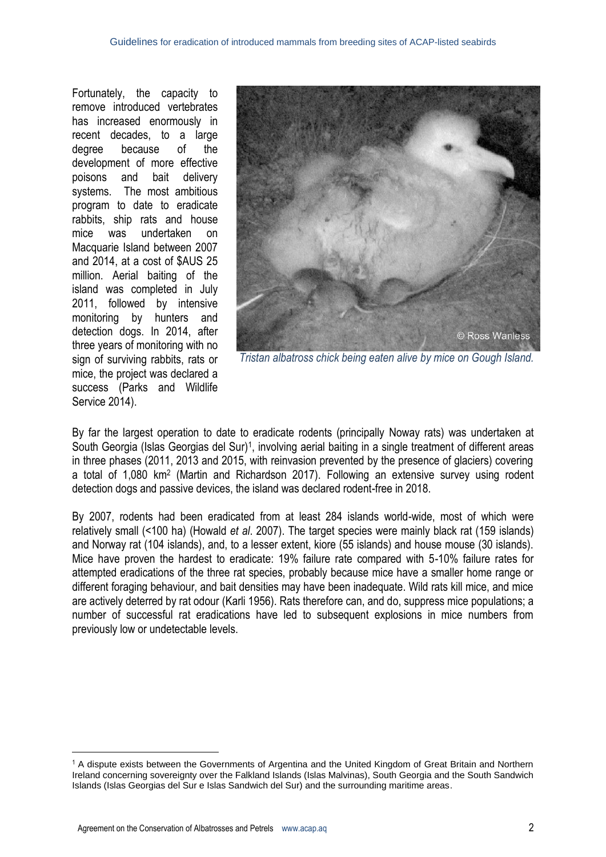Fortunately, the capacity to remove introduced vertebrates has increased enormously in recent decades, to a large degree because of the development of more effective poisons and bait delivery systems. The most ambitious program to date to eradicate rabbits, ship rats and house mice was undertaken on Macquarie Island between 2007 and 2014, at a cost of \$AUS 25 million. Aerial baiting of the island was completed in July 2011, followed by intensive monitoring by hunters and detection dogs. In 2014, after three years of monitoring with no sign of surviving rabbits, rats or mice, the project was declared a success (Parks and Wildlife Service 2014).



*Tristan albatross chick being eaten alive by mice on Gough Island.*

By far the largest operation to date to eradicate rodents (principally Noway rats) was undertaken at South Georgia (Islas Georgias del Sur)<sup>1</sup>, involving aerial baiting in a single treatment of different areas in three phases (2011, 2013 and 2015, with reinvasion prevented by the presence of glaciers) covering a total of 1,080 km<sup>2</sup> (Martin and Richardson 2017). Following an extensive survey using rodent detection dogs and passive devices, the island was declared rodent-free in 2018.

By 2007, rodents had been eradicated from at least 284 islands world-wide, most of which were relatively small (<100 ha) (Howald *et al*. 2007). The target species were mainly black rat (159 islands) and Norway rat (104 islands), and, to a lesser extent, kiore (55 islands) and house mouse (30 islands). Mice have proven the hardest to eradicate: 19% failure rate compared with 5-10% failure rates for attempted eradications of the three rat species, probably because mice have a smaller home range or different foraging behaviour, and bait densities may have been inadequate. Wild rats kill mice, and mice are actively deterred by rat odour (Karli 1956). Rats therefore can, and do, suppress mice populations; a number of successful rat eradications have led to subsequent explosions in mice numbers from previously low or undetectable levels.

 $\overline{a}$ 

<sup>&</sup>lt;sup>1</sup> A dispute exists between the Governments of Argentina and the United Kingdom of Great Britain and Northern Ireland concerning sovereignty over the Falkland Islands (Islas Malvinas), South Georgia and the South Sandwich Islands (Islas Georgias del Sur e Islas Sandwich del Sur) and the surrounding maritime areas.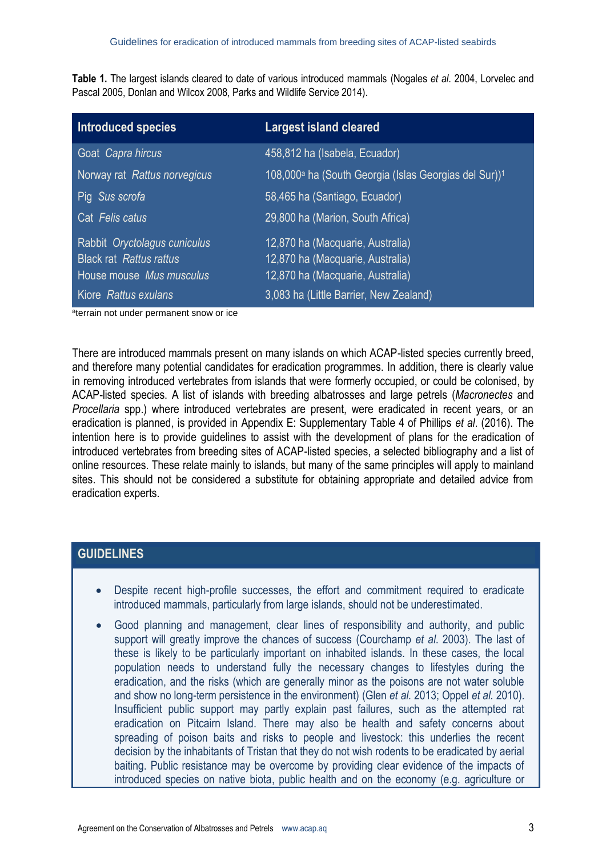**Table 1.** The largest islands cleared to date of various introduced mammals (Nogales *et al*. 2004, Lorvelec and Pascal 2005, Donlan and Wilcox 2008, Parks and Wildlife Service 2014).

| <b>Introduced species</b>                                      | <b>Largest island cleared</b>                                                 |
|----------------------------------------------------------------|-------------------------------------------------------------------------------|
| Goat Capra hircus                                              | 458,812 ha (Isabela, Ecuador)                                                 |
| Norway rat Rattus norvegicus                                   | 108,000 <sup>a</sup> ha (South Georgia (Islas Georgias del Sur)) <sup>1</sup> |
| Pig Sus scrofa                                                 | 58,465 ha (Santiago, Ecuador)                                                 |
| Cat Felis catus                                                | 29,800 ha (Marion, South Africa)                                              |
| Rabbit Oryctolagus cuniculus<br><b>Black rat Rattus rattus</b> | 12,870 ha (Macquarie, Australia)<br>12,870 ha (Macquarie, Australia)          |
| House mouse Mus musculus                                       | 12,870 ha (Macquarie, Australia)                                              |
| Kiore Rattus exulans                                           | 3,083 ha (Little Barrier, New Zealand)                                        |

<sup>a</sup>terrain not under permanent snow or ice

There are introduced mammals present on many islands on which ACAP-listed species currently breed, and therefore many potential candidates for eradication programmes. In addition, there is clearly value in removing introduced vertebrates from islands that were formerly occupied, or could be colonised, by ACAP-listed species. A list of islands with breeding albatrosses and large petrels (*Macronectes* and *Procellaria* spp.) where introduced vertebrates are present, were eradicated in recent years, or an eradication is planned, is provided in Appendix E: Supplementary Table 4 of Phillips *et al*. (2016). The intention here is to provide guidelines to assist with the development of plans for the eradication of introduced vertebrates from breeding sites of ACAP-listed species, a selected bibliography and a list of online resources. These relate mainly to islands, but many of the same principles will apply to mainland sites. This should not be considered a substitute for obtaining appropriate and detailed advice from eradication experts.

# **GUIDELINES**

- Despite recent high-profile successes, the effort and commitment required to eradicate introduced mammals, particularly from large islands, should not be underestimated.
- Good planning and management, clear lines of responsibility and authority, and public support will greatly improve the chances of success (Courchamp *et al*. 2003). The last of these is likely to be particularly important on inhabited islands. In these cases, the local population needs to understand fully the necessary changes to lifestyles during the eradication, and the risks (which are generally minor as the poisons are not water soluble and show no long-term persistence in the environment) (Glen *et al.* 2013; Oppel *et al.* 2010). Insufficient public support may partly explain past failures, such as the attempted rat eradication on Pitcairn Island. There may also be health and safety concerns about spreading of poison baits and risks to people and livestock: this underlies the recent decision by the inhabitants of Tristan that they do not wish rodents to be eradicated by aerial baiting. Public resistance may be overcome by providing clear evidence of the impacts of introduced species on native biota, public health and on the economy (e.g. agriculture or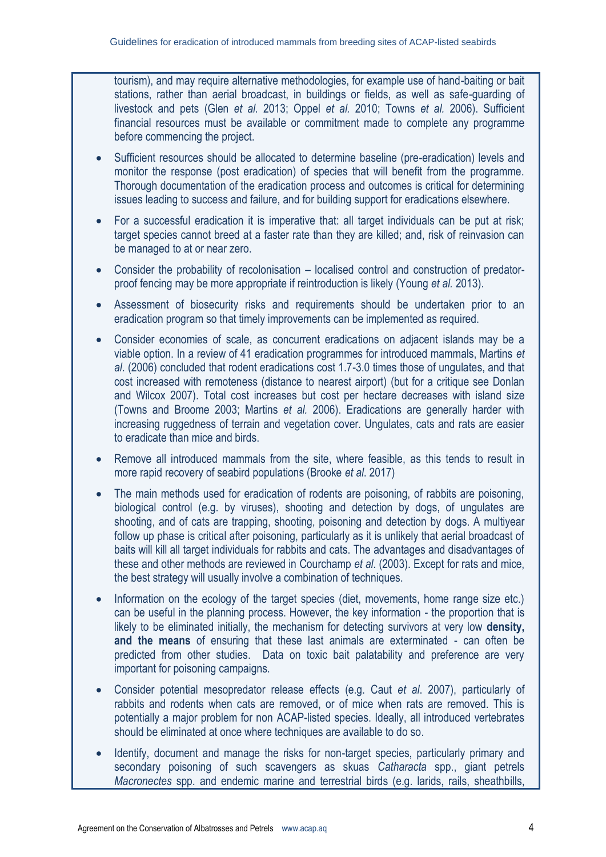tourism), and may require alternative methodologies, for example use of hand-baiting or bait stations, rather than aerial broadcast, in buildings or fields, as well as safe-guarding of livestock and pets (Glen *et al.* 2013; Oppel *et al.* 2010; Towns *et al.* 2006). Sufficient financial resources must be available or commitment made to complete any programme before commencing the project.

- Sufficient resources should be allocated to determine baseline (pre-eradication) levels and monitor the response (post eradication) of species that will benefit from the programme. Thorough documentation of the eradication process and outcomes is critical for determining issues leading to success and failure, and for building support for eradications elsewhere.
- For a successful eradication it is imperative that: all target individuals can be put at risk; target species cannot breed at a faster rate than they are killed; and, risk of reinvasion can be managed to at or near zero.
- Consider the probability of recolonisation localised control and construction of predatorproof fencing may be more appropriate if reintroduction is likely (Young *et al.* 2013).
- Assessment of biosecurity risks and requirements should be undertaken prior to an eradication program so that timely improvements can be implemented as required.
- Consider economies of scale, as concurrent eradications on adjacent islands may be a viable option. In a review of 41 eradication programmes for introduced mammals, Martins *et al*. (2006) concluded that rodent eradications cost 1.7-3.0 times those of ungulates, and that cost increased with remoteness (distance to nearest airport) (but for a critique see Donlan and Wilcox 2007). Total cost increases but cost per hectare decreases with island size (Towns and Broome 2003; Martins *et al.* 2006). Eradications are generally harder with increasing ruggedness of terrain and vegetation cover. Ungulates, cats and rats are easier to eradicate than mice and birds.
- Remove all introduced mammals from the site, where feasible, as this tends to result in more rapid recovery of seabird populations (Brooke *et al*. 2017)
- The main methods used for eradication of rodents are poisoning, of rabbits are poisoning, biological control (e.g. by viruses), shooting and detection by dogs, of ungulates are shooting, and of cats are trapping, shooting, poisoning and detection by dogs. A multiyear follow up phase is critical after poisoning, particularly as it is unlikely that aerial broadcast of baits will kill all target individuals for rabbits and cats. The advantages and disadvantages of these and other methods are reviewed in Courchamp *et al*. (2003). Except for rats and mice, the best strategy will usually involve a combination of techniques.
- Information on the ecology of the target species (diet, movements, home range size etc.) can be useful in the planning process. However, the key information - the proportion that is likely to be eliminated initially, the mechanism for detecting survivors at very low **density, and the means** of ensuring that these last animals are exterminated - can often be predicted from other studies. Data on toxic bait palatability and preference are very important for poisoning campaigns.
- Consider potential mesopredator release effects (e.g. Caut *et al*. 2007), particularly of rabbits and rodents when cats are removed, or of mice when rats are removed. This is potentially a major problem for non ACAP-listed species. Ideally, all introduced vertebrates should be eliminated at once where techniques are available to do so.
- Identify, document and manage the risks for non-target species, particularly primary and secondary poisoning of such scavengers as skuas *Catharacta* spp., giant petrels *Macronectes* spp. and endemic marine and terrestrial birds (e.g. larids, rails, sheathbills,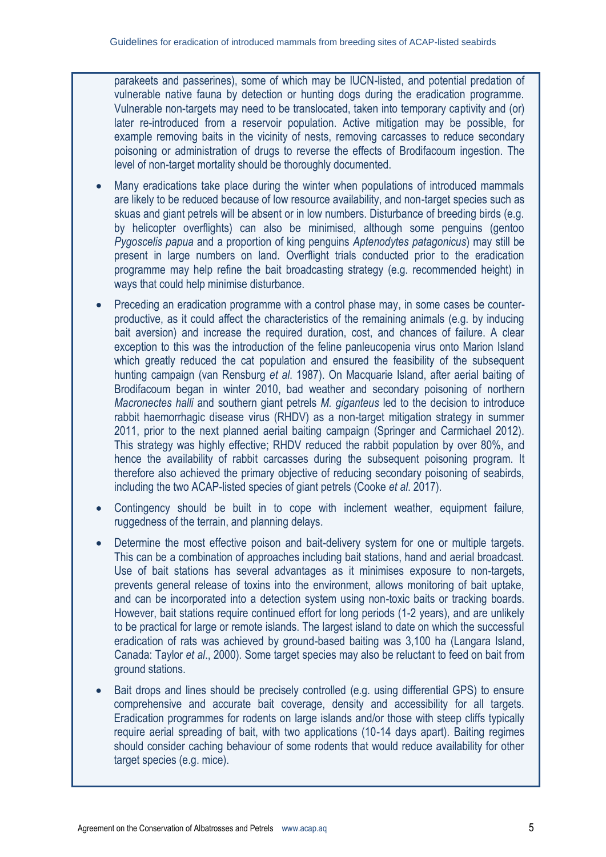parakeets and passerines), some of which may be IUCN-listed, and potential predation of vulnerable native fauna by detection or hunting dogs during the eradication programme. Vulnerable non-targets may need to be translocated, taken into temporary captivity and (or) later re-introduced from a reservoir population. Active mitigation may be possible, for example removing baits in the vicinity of nests, removing carcasses to reduce secondary poisoning or administration of drugs to reverse the effects of Brodifacoum ingestion. The level of non-target mortality should be thoroughly documented.

- Many eradications take place during the winter when populations of introduced mammals are likely to be reduced because of low resource availability, and non-target species such as skuas and giant petrels will be absent or in low numbers. Disturbance of breeding birds (e.g. by helicopter overflights) can also be minimised, although some penguins (gentoo *Pygoscelis papua* and a proportion of king penguins *Aptenodytes patagonicus*) may still be present in large numbers on land. Overflight trials conducted prior to the eradication programme may help refine the bait broadcasting strategy (e.g. recommended height) in ways that could help minimise disturbance.
- Preceding an eradication programme with a control phase may, in some cases be counterproductive, as it could affect the characteristics of the remaining animals (e.g. by inducing bait aversion) and increase the required duration, cost, and chances of failure. A clear exception to this was the introduction of the feline panleucopenia virus onto Marion Island which greatly reduced the cat population and ensured the feasibility of the subsequent hunting campaign (van Rensburg *et al*. 1987). On Macquarie Island, after aerial baiting of Brodifacoum began in winter 2010, bad weather and secondary poisoning of northern *Macronectes halli* and southern giant petrels *M. giganteus* led to the decision to introduce rabbit haemorrhagic disease virus (RHDV) as a non-target mitigation strategy in summer 2011, prior to the next planned aerial baiting campaign (Springer and Carmichael 2012). This strategy was highly effective; RHDV reduced the rabbit population by over 80%, and hence the availability of rabbit carcasses during the subsequent poisoning program. It therefore also achieved the primary objective of reducing secondary poisoning of seabirds, including the two ACAP-listed species of giant petrels (Cooke *et al*. 2017).
- Contingency should be built in to cope with inclement weather, equipment failure, ruggedness of the terrain, and planning delays.
- Determine the most effective poison and bait-delivery system for one or multiple targets. This can be a combination of approaches including bait stations, hand and aerial broadcast. Use of bait stations has several advantages as it minimises exposure to non-targets, prevents general release of toxins into the environment, allows monitoring of bait uptake, and can be incorporated into a detection system using non-toxic baits or tracking boards. However, bait stations require continued effort for long periods (1-2 years), and are unlikely to be practical for large or remote islands. The largest island to date on which the successful eradication of rats was achieved by ground-based baiting was 3,100 ha (Langara Island, Canada: Taylor *et al*., 2000). Some target species may also be reluctant to feed on bait from ground stations.
- Bait drops and lines should be precisely controlled (e.g. using differential GPS) to ensure comprehensive and accurate bait coverage, density and accessibility for all targets. Eradication programmes for rodents on large islands and/or those with steep cliffs typically require aerial spreading of bait, with two applications (10-14 days apart). Baiting regimes should consider caching behaviour of some rodents that would reduce availability for other target species (e.g. mice).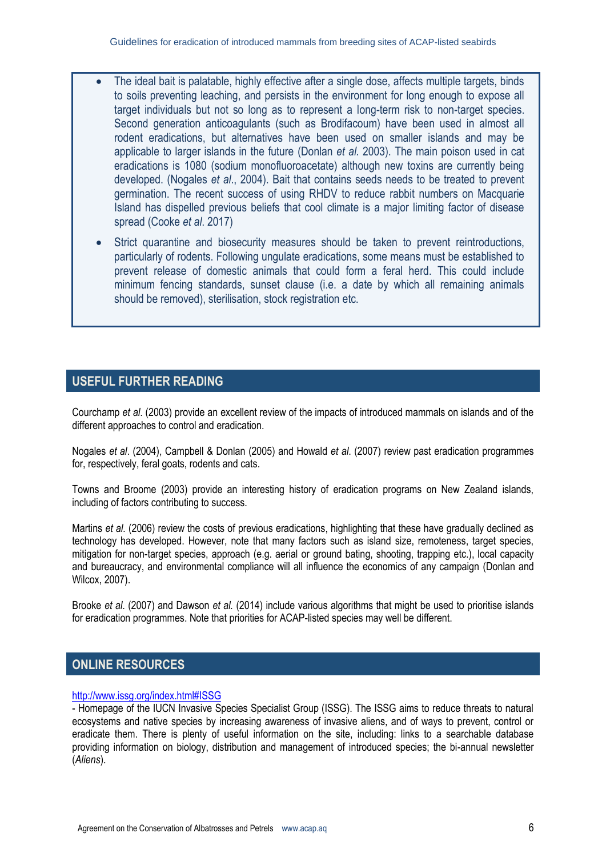- The ideal bait is palatable, highly effective after a single dose, affects multiple targets, binds to soils preventing leaching, and persists in the environment for long enough to expose all target individuals but not so long as to represent a long-term risk to non-target species. Second generation anticoagulants (such as Brodifacoum) have been used in almost all rodent eradications, but alternatives have been used on smaller islands and may be applicable to larger islands in the future (Donlan *et al.* 2003). The main poison used in cat eradications is 1080 (sodium monofluoroacetate) although new toxins are currently being developed. (Nogales *et al*., 2004). Bait that contains seeds needs to be treated to prevent germination. The recent success of using RHDV to reduce rabbit numbers on Macquarie Island has dispelled previous beliefs that cool climate is a major limiting factor of disease spread (Cooke *et al*. 2017)
	- Strict quarantine and biosecurity measures should be taken to prevent reintroductions, particularly of rodents. Following ungulate eradications, some means must be established to prevent release of domestic animals that could form a feral herd. This could include minimum fencing standards, sunset clause (i.e. a date by which all remaining animals should be removed), sterilisation, stock registration etc.

# **USEFUL FURTHER READING**

Courchamp *et al*. (2003) provide an excellent review of the impacts of introduced mammals on islands and of the different approaches to control and eradication.

Nogales *et al*. (2004), Campbell & Donlan (2005) and Howald *et al*. (2007) review past eradication programmes for, respectively, feral goats, rodents and cats.

Towns and Broome (2003) provide an interesting history of eradication programs on New Zealand islands, including of factors contributing to success.

Martins *et al.* (2006) review the costs of previous eradications, highlighting that these have gradually declined as technology has developed. However, note that many factors such as island size, remoteness, target species, mitigation for non-target species, approach (e.g. aerial or ground bating, shooting, trapping etc.), local capacity and bureaucracy, and environmental compliance will all influence the economics of any campaign (Donlan and Wilcox, 2007).

Brooke *et al*. (2007) and Dawson *et al.* (2014) include various algorithms that might be used to prioritise islands for eradication programmes. Note that priorities for ACAP-listed species may well be different.

## **ONLINE RESOURCES**

### <http://www.issg.org/index.html#ISSG>

- Homepage of the IUCN Invasive Species Specialist Group (ISSG). The ISSG aims to reduce threats to natural ecosystems and native species by increasing awareness of invasive aliens, and of ways to prevent, control or eradicate them. There is plenty of useful information on the site, including: links to a searchable database providing information on biology, distribution and management of introduced species; the bi-annual newsletter (*Aliens*).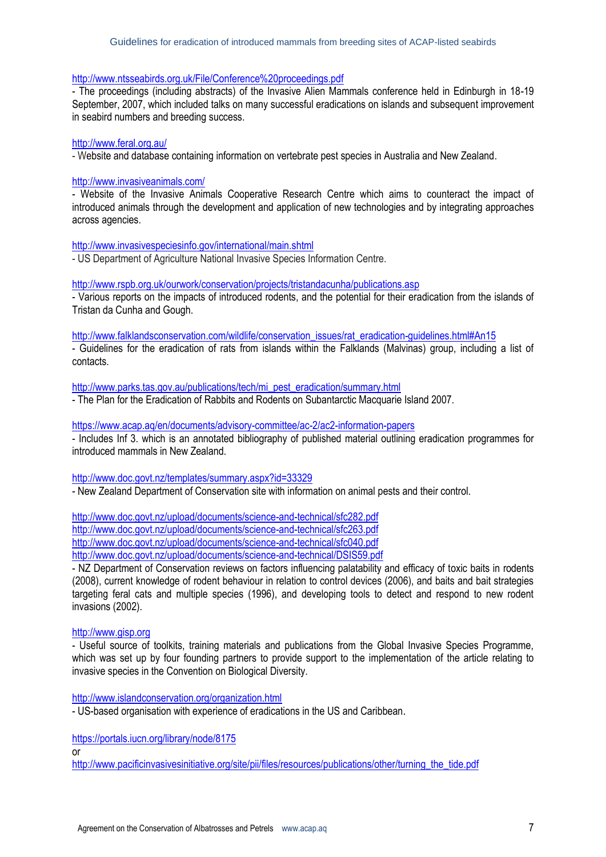#### <http://www.ntsseabirds.org.uk/File/Conference%20proceedings.pdf>

- The proceedings (including abstracts) of the Invasive Alien Mammals conference held in Edinburgh in 18-19 September, 2007, which included talks on many successful eradications on islands and subsequent improvement in seabird numbers and breeding success.

#### <http://www.feral.org.au/>

- Website and database containing information on vertebrate pest species in Australia and New Zealand.

#### <http://www.invasiveanimals.com/>

- Website of the Invasive Animals Cooperative Research Centre which aims to counteract the impact of introduced animals through the development and application of new technologies and by integrating approaches across agencies.

#### <http://www.invasivespeciesinfo.gov/international/main.shtml>

- US Department of Agriculture National Invasive Species Information Centre.

#### <http://www.rspb.org.uk/ourwork/conservation/projects/tristandacunha/publications.asp>

- Various reports on the impacts of introduced rodents, and the potential for their eradication from the islands of Tristan da Cunha and Gough.

[http://www.falklandsconservation.com/wildlife/conservation\\_issues/rat\\_eradication-guidelines.html#An15](http://www.falklandsconservation.com/wildlife/conservation_issues/rat_eradication-guidelines.html#An15)

- Guidelines for the eradication of rats from islands within the Falklands (Malvinas) group, including a list of contacts.

[http://www.parks.tas.gov.au/publications/tech/mi\\_pest\\_eradication/summary.html](http://www.parks.tas.gov.au/publications/tech/mi_pest_eradication/summary.html)

- The Plan for the Eradication of Rabbits and Rodents on Subantarctic Macquarie Island 2007.

#### <https://www.acap.aq/en/documents/advisory-committee/ac-2/ac2-information-papers>

- Includes Inf 3. which is an annotated bibliography of published material outlining eradication programmes for introduced mammals in New Zealand.

#### <http://www.doc.govt.nz/templates/summary.aspx?id=33329>

- New Zealand Department of Conservation site with information on animal pests and their control.

<http://www.doc.govt.nz/upload/documents/science-and-technical/sfc282.pdf> <http://www.doc.govt.nz/upload/documents/science-and-technical/sfc263.pdf> <http://www.doc.govt.nz/upload/documents/science-and-technical/sfc040.pdf> <http://www.doc.govt.nz/upload/documents/science-and-technical/DSIS59.pdf>

- NZ Department of Conservation reviews on factors influencing palatability and efficacy of toxic baits in rodents (2008), current knowledge of rodent behaviour in relation to control devices (2006), and baits and bait strategies targeting feral cats and multiple species (1996), and developing tools to detect and respond to new rodent invasions (2002).

#### [http://www.gisp.org](http://www.gisp.org/)

- Useful source of toolkits, training materials and publications from the Global Invasive Species Programme, which was set up by four founding partners to provide support to the implementation of the article relating to invasive species in the Convention on Biological Diversity.

<http://www.islandconservation.org/organization.html>

- US-based organisation with experience of eradications in the US and Caribbean.

https://portals.iucn.org/library/node/8175

or

[http://www.pacificinvasivesinitiative.org/site/pii/files/resources/publications/other/turning\\_the\\_tide.pdf](http://www.pacificinvasivesinitiative.org/site/pii/files/resources/publications/other/turning_the_tide.pdf)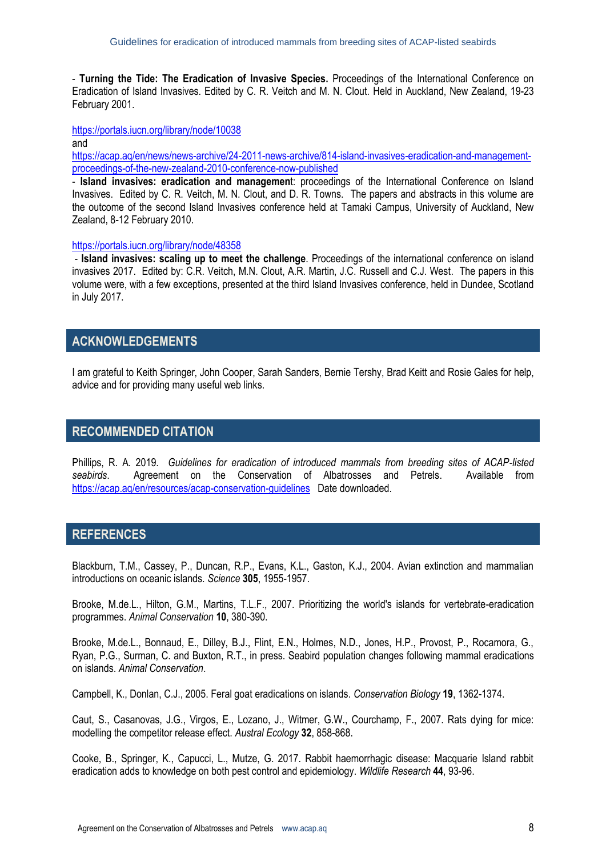- **Turning the Tide: The Eradication of Invasive Species.** Proceedings of the International Conference on Eradication of Island Invasives. Edited by C. R. Veitch and M. N. Clout. Held in Auckland, New Zealand, 19-23 February 2001.

<https://portals.iucn.org/library/node/10038>

and

[https://acap.aq/en/news/news-archive/24-2011-news-archive/814-island-invasives-eradication-and-management](https://acap.aq/en/news/news-archive/24-2011-news-archive/814-island-invasives-eradication-and-management-proceedings-of-the-new-zealand-2010-conference-now-published)[proceedings-of-the-new-zealand-2010-conference-now-published](https://acap.aq/en/news/news-archive/24-2011-news-archive/814-island-invasives-eradication-and-management-proceedings-of-the-new-zealand-2010-conference-now-published)

- **Island invasives: eradication and managemen**t: proceedings of the International Conference on Island Invasives. Edited by C. R. Veitch, M. N. Clout, and D. R. Towns. The papers and abstracts in this volume are the outcome of the second Island Invasives conference held at Tamaki Campus, University of Auckland, New Zealand, 8-12 February 2010.

#### <https://portals.iucn.org/library/node/48358>

- **Island invasives: scaling up to meet the challenge**. Proceedings of the international conference on island invasives 2017. Edited by: C.R. Veitch, M.N. Clout, A.R. Martin, J.C. Russell and C.J. West. The papers in this volume were, with a few exceptions, presented at the third Island Invasives conference, held in Dundee, Scotland in July 2017.

## **ACKNOWLEDGEMENTS**

I am grateful to Keith Springer, John Cooper, Sarah Sanders, Bernie Tershy, Brad Keitt and Rosie Gales for help, advice and for providing many useful web links.

## **RECOMMENDED CITATION**

Phillips, R. A. 2019. *Guidelines for eradication of introduced mammals from breeding sites of ACAP-listed seabirds*. Agreement on the Conservation of Albatrosses and Petrels. Available from <https://acap.aq/en/resources/acap-conservation-guidelines> Date downloaded.

## **REFERENCES**

Blackburn, T.M., Cassey, P., Duncan, R.P., Evans, K.L., Gaston, K.J., 2004. Avian extinction and mammalian introductions on oceanic islands. *Science* **305**, 1955-1957.

Brooke, M.de.L., Hilton, G.M., Martins, T.L.F., 2007. Prioritizing the world's islands for vertebrate-eradication programmes. *Animal Conservation* **10**, 380-390.

Brooke, M.de.L., Bonnaud, E., Dilley, B.J., Flint, E.N., Holmes, N.D., Jones, H.P., Provost, P., Rocamora, G., Ryan, P.G., Surman, C. and Buxton, R.T., in press. Seabird population changes following mammal eradications on islands. *Animal Conservation*.

Campbell, K., Donlan, C.J., 2005. Feral goat eradications on islands. *Conservation Biology* **19**, 1362-1374.

Caut, S., Casanovas, J.G., Virgos, E., Lozano, J., Witmer, G.W., Courchamp, F., 2007. Rats dying for mice: modelling the competitor release effect. *Austral Ecology* **32**, 858-868.

Cooke, B., Springer, K., Capucci, L., Mutze, G. 2017. Rabbit haemorrhagic disease: Macquarie Island rabbit eradication adds to knowledge on both pest control and epidemiology. *Wildlife Research* **44**, 93-96.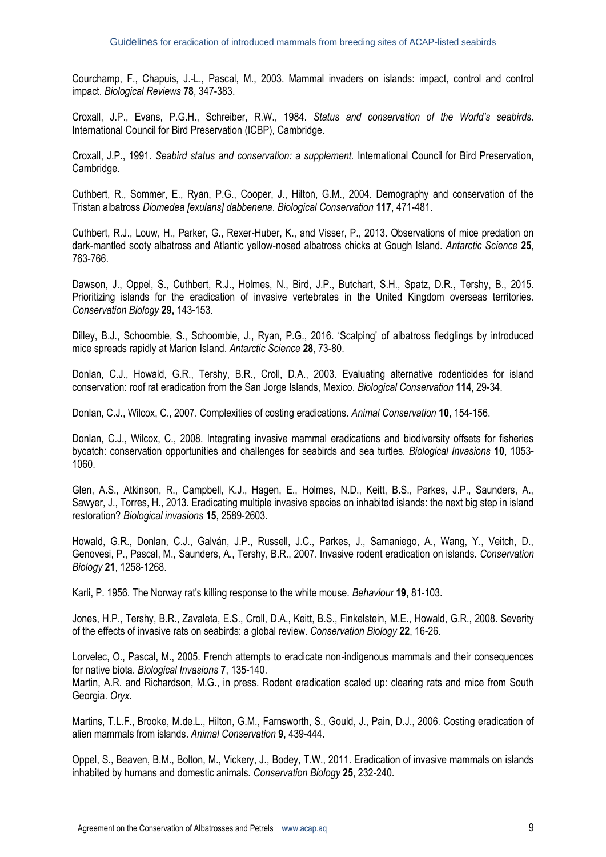Courchamp, F., Chapuis, J.-L., Pascal, M., 2003. Mammal invaders on islands: impact, control and control impact. *Biological Reviews* **78**, 347-383.

Croxall, J.P., Evans, P.G.H., Schreiber, R.W., 1984. *Status and conservation of the World's seabirds.* International Council for Bird Preservation (ICBP), Cambridge.

Croxall, J.P., 1991. *Seabird status and conservation: a supplement.* International Council for Bird Preservation, Cambridge.

Cuthbert, R., Sommer, E., Ryan, P.G., Cooper, J., Hilton, G.M., 2004. Demography and conservation of the Tristan albatross *Diomedea [exulans] dabbenena*. *Biological Conservation* **117**, 471-481.

Cuthbert, R.J., Louw, H., Parker, G., Rexer-Huber, K., and Visser, P., 2013. Observations of mice predation on dark-mantled sooty albatross and Atlantic yellow-nosed albatross chicks at Gough Island. *Antarctic Science* **25**, 763-766.

Dawson, J., Oppel, S., Cuthbert, R.J., Holmes, N., Bird, J.P., Butchart, S.H., Spatz, D.R., Tershy, B., 2015. Prioritizing islands for the eradication of invasive vertebrates in the United Kingdom overseas territories. *Conservation Biology* **29,** 143-153.

Dilley, B.J., Schoombie, S., Schoombie, J., Ryan, P.G., 2016. 'Scalping' of albatross fledglings by introduced mice spreads rapidly at Marion Island. *Antarctic Science* **28**, 73-80.

Donlan, C.J., Howald, G.R., Tershy, B.R., Croll, D.A., 2003. Evaluating alternative rodenticides for island conservation: roof rat eradication from the San Jorge Islands, Mexico. *Biological Conservation* **114**, 29-34.

Donlan, C.J., Wilcox, C., 2007. Complexities of costing eradications. *Animal Conservation* **10**, 154-156.

Donlan, C.J., Wilcox, C., 2008. Integrating invasive mammal eradications and biodiversity offsets for fisheries bycatch: conservation opportunities and challenges for seabirds and sea turtles. *Biological Invasions* **10**, 1053- 1060.

Glen, A.S., Atkinson, R., Campbell, K.J., Hagen, E., Holmes, N.D., Keitt, B.S., Parkes, J.P., Saunders, A., Sawyer, J., Torres, H., 2013. Eradicating multiple invasive species on inhabited islands: the next big step in island restoration? *Biological invasions* **15**, 2589-2603.

Howald, G.R., Donlan, C.J., Galván, J.P., Russell, J.C., Parkes, J., Samaniego, A., Wang, Y., Veitch, D., Genovesi, P., Pascal, M., Saunders, A., Tershy, B.R., 2007. Invasive rodent eradication on islands. *Conservation Biology* **21**, 1258-1268.

Karli, P. 1956. The Norway rat's killing response to the white mouse. *Behaviour* **19**, 81-103.

Jones, H.P., Tershy, B.R., Zavaleta, E.S., Croll, D.A., Keitt, B.S., Finkelstein, M.E., Howald, G.R., 2008. Severity of the effects of invasive rats on seabirds: a global review. *Conservation Biology* **22**, 16-26.

Lorvelec, O., Pascal, M., 2005. French attempts to eradicate non-indigenous mammals and their consequences for native biota. *Biological Invasions* **7**, 135-140.

Martin, A.R. and Richardson, M.G., in press. Rodent eradication scaled up: clearing rats and mice from South Georgia. *Oryx*.

Martins, T.L.F., Brooke, M.de.L., Hilton, G.M., Farnsworth, S., Gould, J., Pain, D.J., 2006. Costing eradication of alien mammals from islands. *Animal Conservation* **9**, 439-444.

Oppel, S., Beaven, B.M., Bolton, M., Vickery, J., Bodey, T.W., 2011. Eradication of invasive mammals on islands inhabited by humans and domestic animals. *Conservation Biology* **25**, 232-240.